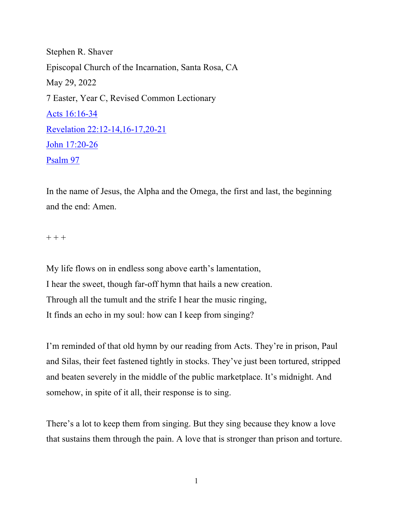Stephen R. Shaver Episcopal Church of the Incarnation, Santa Rosa, CA May 29, 2022 7 Easter, Year C, Revised Common Lectionary Acts 16:16-34 Revelation 22:12-14,16-17,20-21 John 17:20-26 Psalm 97

In the name of Jesus, the Alpha and the Omega, the first and last, the beginning and the end: Amen.

 $+ + +$ 

My life flows on in endless song above earth's lamentation, I hear the sweet, though far-off hymn that hails a new creation. Through all the tumult and the strife I hear the music ringing, It finds an echo in my soul: how can I keep from singing?

I'm reminded of that old hymn by our reading from Acts. They're in prison, Paul and Silas, their feet fastened tightly in stocks. They've just been tortured, stripped and beaten severely in the middle of the public marketplace. It's midnight. And somehow, in spite of it all, their response is to sing.

There's a lot to keep them from singing. But they sing because they know a love that sustains them through the pain. A love that is stronger than prison and torture.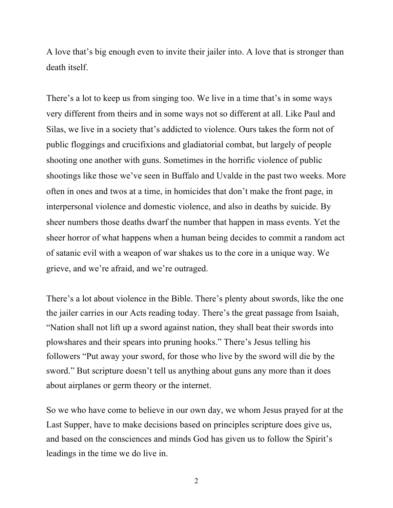A love that's big enough even to invite their jailer into. A love that is stronger than death itself.

There's a lot to keep us from singing too. We live in a time that's in some ways very different from theirs and in some ways not so different at all. Like Paul and Silas, we live in a society that's addicted to violence. Ours takes the form not of public floggings and crucifixions and gladiatorial combat, but largely of people shooting one another with guns. Sometimes in the horrific violence of public shootings like those we've seen in Buffalo and Uvalde in the past two weeks. More often in ones and twos at a time, in homicides that don't make the front page, in interpersonal violence and domestic violence, and also in deaths by suicide. By sheer numbers those deaths dwarf the number that happen in mass events. Yet the sheer horror of what happens when a human being decides to commit a random act of satanic evil with a weapon of war shakes us to the core in a unique way. We grieve, and we're afraid, and we're outraged.

There's a lot about violence in the Bible. There's plenty about swords, like the one the jailer carries in our Acts reading today. There's the great passage from Isaiah, "Nation shall not lift up a sword against nation, they shall beat their swords into plowshares and their spears into pruning hooks." There's Jesus telling his followers "Put away your sword, for those who live by the sword will die by the sword." But scripture doesn't tell us anything about guns any more than it does about airplanes or germ theory or the internet.

So we who have come to believe in our own day, we whom Jesus prayed for at the Last Supper, have to make decisions based on principles scripture does give us, and based on the consciences and minds God has given us to follow the Spirit's leadings in the time we do live in.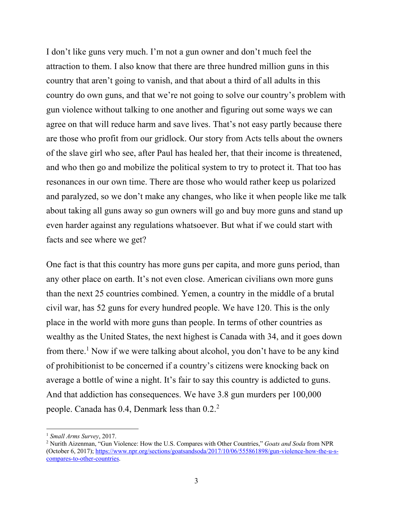I don't like guns very much. I'm not a gun owner and don't much feel the attraction to them. I also know that there are three hundred million guns in this country that aren't going to vanish, and that about a third of all adults in this country do own guns, and that we're not going to solve our country's problem with gun violence without talking to one another and figuring out some ways we can agree on that will reduce harm and save lives. That's not easy partly because there are those who profit from our gridlock. Our story from Acts tells about the owners of the slave girl who see, after Paul has healed her, that their income is threatened, and who then go and mobilize the political system to try to protect it. That too has resonances in our own time. There are those who would rather keep us polarized and paralyzed, so we don't make any changes, who like it when people like me talk about taking all guns away so gun owners will go and buy more guns and stand up even harder against any regulations whatsoever. But what if we could start with facts and see where we get?

One fact is that this country has more guns per capita, and more guns period, than any other place on earth. It's not even close. American civilians own more guns than the next 25 countries combined. Yemen, a country in the middle of a brutal civil war, has 52 guns for every hundred people. We have 120. This is the only place in the world with more guns than people. In terms of other countries as wealthy as the United States, the next highest is Canada with 34, and it goes down from there.<sup>1</sup> Now if we were talking about alcohol, you don't have to be any kind of prohibitionist to be concerned if a country's citizens were knocking back on average a bottle of wine a night. It's fair to say this country is addicted to guns. And that addiction has consequences. We have 3.8 gun murders per 100,000 people. Canada has 0.4, Denmark less than 0.2.<sup>2</sup>

<sup>1</sup> *Small Arms Survey*, 2017.

<sup>2</sup> Nurith Aizenman, "Gun Violence: How the U.S. Compares with Other Countries," *Goats and Soda* from NPR (October 6, 2017); https://www.npr.org/sections/goatsandsoda/2017/10/06/555861898/gun-violence-how-the-u-scompares-to-other-countries.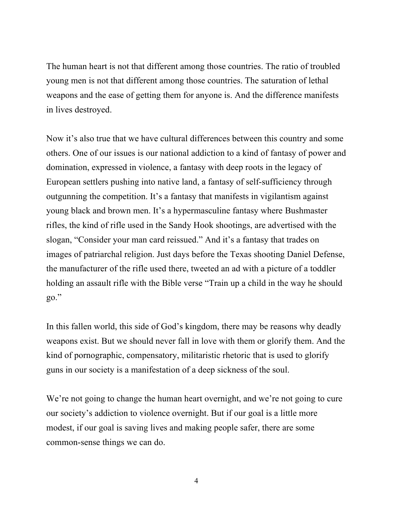The human heart is not that different among those countries. The ratio of troubled young men is not that different among those countries. The saturation of lethal weapons and the ease of getting them for anyone is. And the difference manifests in lives destroyed.

Now it's also true that we have cultural differences between this country and some others. One of our issues is our national addiction to a kind of fantasy of power and domination, expressed in violence, a fantasy with deep roots in the legacy of European settlers pushing into native land, a fantasy of self-sufficiency through outgunning the competition. It's a fantasy that manifests in vigilantism against young black and brown men. It's a hypermasculine fantasy where Bushmaster rifles, the kind of rifle used in the Sandy Hook shootings, are advertised with the slogan, "Consider your man card reissued." And it's a fantasy that trades on images of patriarchal religion. Just days before the Texas shooting Daniel Defense, the manufacturer of the rifle used there, tweeted an ad with a picture of a toddler holding an assault rifle with the Bible verse "Train up a child in the way he should go."

In this fallen world, this side of God's kingdom, there may be reasons why deadly weapons exist. But we should never fall in love with them or glorify them. And the kind of pornographic, compensatory, militaristic rhetoric that is used to glorify guns in our society is a manifestation of a deep sickness of the soul.

We're not going to change the human heart overnight, and we're not going to cure our society's addiction to violence overnight. But if our goal is a little more modest, if our goal is saving lives and making people safer, there are some common-sense things we can do.